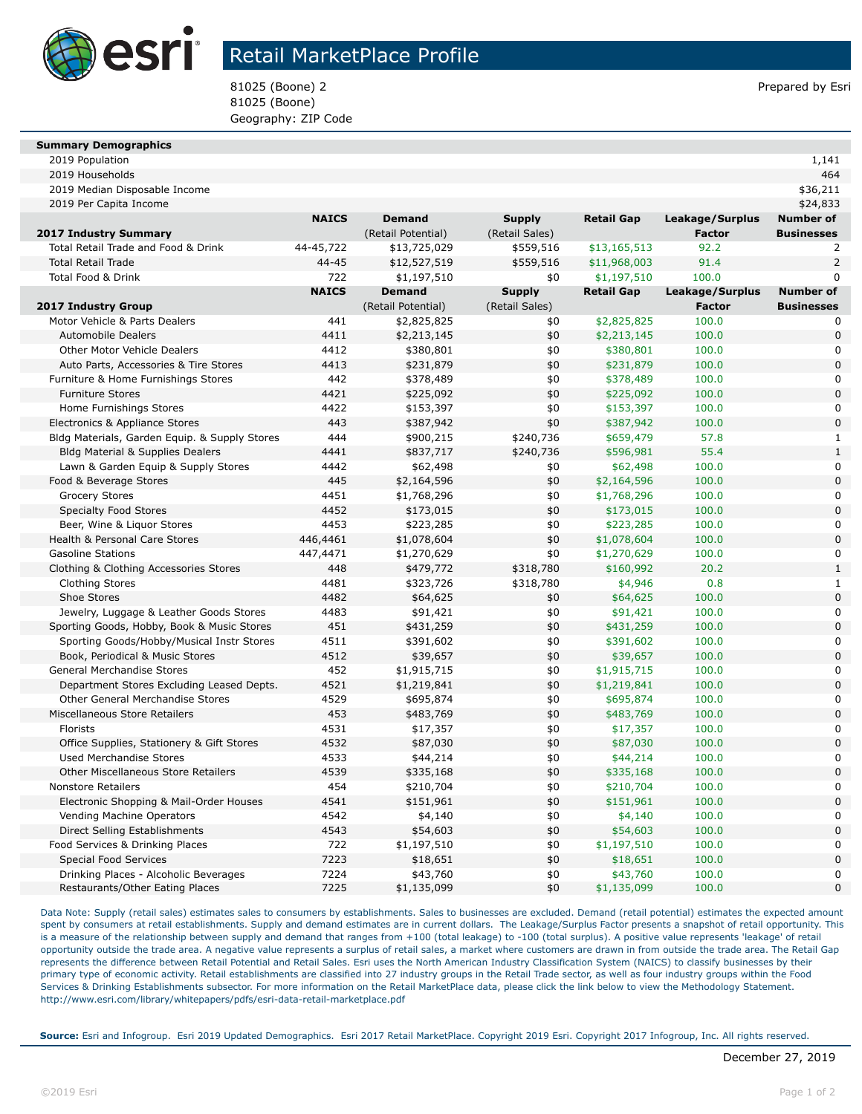

## Retail MarketPlace Profile

81025 (Boone) 2 Prepared by Esri 81025 (Boone) Geography: ZIP Code

#### **Summary Demographics**

| 1.141 |
|-------|
|       |

| 2019 Median Disposable Income                                                |              |                         |                |                         |                 | \$36,211                   |
|------------------------------------------------------------------------------|--------------|-------------------------|----------------|-------------------------|-----------------|----------------------------|
| 2019 Per Capita Income                                                       |              |                         |                |                         |                 | \$24,833                   |
|                                                                              | <b>NAICS</b> | <b>Demand</b>           | <b>Supply</b>  | <b>Retail Gap</b>       | Leakage/Surplus | <b>Number of</b>           |
| 2017 Industry Summary                                                        |              | (Retail Potential)      | (Retail Sales) |                         | <b>Factor</b>   | <b>Businesses</b>          |
| Total Retail Trade and Food & Drink                                          | 44-45,722    | \$13,725,029            | \$559,516      | \$13,165,513            | 92.2            | 2                          |
| <b>Total Retail Trade</b>                                                    | 44-45        | \$12,527,519            | \$559,516      | \$11,968,003            | 91.4            | $\overline{2}$             |
| <b>Total Food &amp; Drink</b>                                                | 722          | \$1,197,510             | \$0            | \$1,197,510             | 100.0           | $\mathbf{0}$               |
|                                                                              | <b>NAICS</b> | <b>Demand</b>           | <b>Supply</b>  | <b>Retail Gap</b>       | Leakage/Surplus | <b>Number of</b>           |
| <b>2017 Industry Group</b>                                                   |              | (Retail Potential)      | (Retail Sales) |                         | <b>Factor</b>   | <b>Businesses</b>          |
| Motor Vehicle & Parts Dealers                                                | 441          | \$2,825,825             | \$0            | \$2,825,825             | 100.0           | 0                          |
| <b>Automobile Dealers</b>                                                    | 4411         | \$2,213,145             | \$0            | \$2,213,145             | 100.0           | $\mathbf 0$                |
| <b>Other Motor Vehicle Dealers</b>                                           | 4412         | \$380,801               | \$0            | \$380,801               | 100.0           | $\mathbf 0$                |
| Auto Parts, Accessories & Tire Stores                                        | 4413         | \$231,879               | \$0            | \$231,879               | 100.0           | $\mathbf 0$                |
| Furniture & Home Furnishings Stores                                          | 442          | \$378,489               | \$0            | \$378,489               | 100.0           | $\mathbf 0$                |
| <b>Furniture Stores</b>                                                      | 4421         | \$225,092               | \$0            | \$225,092               | 100.0           | $\Omega$                   |
| Home Furnishings Stores                                                      | 4422         | \$153,397               | \$0            | \$153,397               | 100.0           | $\mathbf 0$                |
| Electronics & Appliance Stores                                               | 443          | \$387,942               | \$0            | \$387,942               | 100.0           | $\mathbf 0$                |
| Bldg Materials, Garden Equip. & Supply Stores                                | 444          | \$900,215               | \$240,736      | \$659,479               | 57.8            | $\mathbf{1}$               |
| Bldg Material & Supplies Dealers                                             | 4441         | \$837,717               | \$240,736      | \$596,981               | 55.4            | $\mathbf{1}$               |
| Lawn & Garden Equip & Supply Stores                                          | 4442         | \$62,498                | \$0            | \$62,498                | 100.0           | $\mathbf 0$                |
| Food & Beverage Stores                                                       | 445          | \$2,164,596             | \$0            | \$2,164,596             | 100.0           | $\mathbf 0$                |
| <b>Grocery Stores</b>                                                        | 4451         | \$1,768,296             | \$0            | \$1,768,296             | 100.0           | $\mathbf 0$                |
| <b>Specialty Food Stores</b>                                                 | 4452         | \$173,015               | \$0            | \$173,015               | 100.0           | $\mathbf 0$                |
| Beer, Wine & Liquor Stores                                                   | 4453         | \$223,285               | \$0            | \$223,285               | 100.0           | $\mathbf 0$                |
| Health & Personal Care Stores                                                | 446,4461     | \$1,078,604             | \$0            | \$1,078,604             | 100.0           | $\mathbf 0$                |
| <b>Gasoline Stations</b>                                                     | 447,4471     | \$1,270,629             | \$0            | \$1,270,629             | 100.0           | $\mathbf 0$                |
| Clothing & Clothing Accessories Stores                                       | 448          | \$479,772               | \$318,780      | \$160,992               | 20.2            | $\mathbf{1}$               |
| <b>Clothing Stores</b>                                                       | 4481         | \$323,726               | \$318,780      | \$4,946                 | 0.8             | $\mathbf{1}$               |
| Shoe Stores                                                                  | 4482         | \$64,625                | \$0            | \$64,625                | 100.0           | $\mathbf 0$                |
| Jewelry, Luggage & Leather Goods Stores                                      | 4483         | \$91,421                | \$0            | \$91,421                | 100.0           | $\mathbf 0$                |
| Sporting Goods, Hobby, Book & Music Stores                                   | 451          | \$431,259               | \$0            | \$431,259               | 100.0           | $\mathbf 0$                |
| Sporting Goods/Hobby/Musical Instr Stores                                    | 4511         | \$391,602               | \$0            | \$391,602               | 100.0           | $\mathbf 0$                |
| Book, Periodical & Music Stores                                              | 4512         | \$39,657                | \$0            | \$39,657                | 100.0           | $\mathbf 0$                |
| General Merchandise Stores                                                   | 452          | \$1,915,715             | \$0            | \$1,915,715             | 100.0           | $\mathbf 0$                |
| Department Stores Excluding Leased Depts.                                    | 4521         | \$1,219,841             | \$0            | \$1,219,841             | 100.0           | $\pmb{0}$                  |
| <b>Other General Merchandise Stores</b>                                      | 4529         | \$695,874               | \$0            | \$695,874               | 100.0           | $\mathbf 0$                |
| Miscellaneous Store Retailers                                                | 453          | \$483,769               | \$0            | \$483,769               | 100.0           | $\mathbf 0$                |
| Florists                                                                     | 4531         | \$17,357                | \$0            | \$17,357                | 100.0           | $\mathbf 0$<br>$\mathbf 0$ |
| Office Supplies, Stationery & Gift Stores                                    | 4532         | \$87,030                | \$0            | \$87,030                | 100.0           |                            |
| <b>Used Merchandise Stores</b><br><b>Other Miscellaneous Store Retailers</b> | 4533<br>4539 | \$44,214                | \$0<br>\$0     | \$44,214                | 100.0<br>100.0  | $\mathbf 0$<br>$\mathbf 0$ |
| <b>Nonstore Retailers</b>                                                    | 454          | \$335,168               |                | \$335,168               | 100.0           | $\mathbf 0$                |
|                                                                              | 4541         | \$210,704               | \$0            | \$210,704               |                 | $\pmb{0}$                  |
| Electronic Shopping & Mail-Order Houses                                      | 4542         | \$151,961               | \$0            | \$151,961               | 100.0           | $\mathbf 0$                |
| Vending Machine Operators                                                    | 4543         | \$4,140                 | \$0<br>\$0     | \$4,140                 | 100.0<br>100.0  | $\mathbf 0$                |
| Direct Selling Establishments<br>Food Services & Drinking Places             | 722          | \$54,603<br>\$1,197,510 | \$0            | \$54,603<br>\$1,197,510 | 100.0           | $\mathbf 0$                |
| Special Food Services                                                        | 7223         | \$18,651                | \$0            | \$18,651                | 100.0           | $\pmb{0}$                  |
| Drinking Places - Alcoholic Beverages                                        | 7224         | \$43,760                | \$0            | \$43,760                | 100.0           | $\pmb{0}$                  |
| Restaurants/Other Eating Places                                              | 7225         | \$1,135,099             | \$0            | \$1,135,099             | 100.0           | $\pmb{0}$                  |
|                                                                              |              |                         |                |                         |                 |                            |

2019 Households 464

Data Note: Supply (retail sales) estimates sales to consumers by establishments. Sales to businesses are excluded. Demand (retail potential) estimates the expected amount spent by consumers at retail establishments. Supply and demand estimates are in current dollars. The Leakage/Surplus Factor presents a snapshot of retail opportunity. This is a measure of the relationship between supply and demand that ranges from +100 (total leakage) to -100 (total surplus). A positive value represents 'leakage' of retail opportunity outside the trade area. A negative value represents a surplus of retail sales, a market where customers are drawn in from outside the trade area. The Retail Gap represents the difference between Retail Potential and Retail Sales. Esri uses the North American Industry Classification System (NAICS) to classify businesses by their primary type of economic activity. Retail establishments are classified into 27 industry groups in the Retail Trade sector, as well as four industry groups within the Food Services & Drinking Establishments subsector. For more information on the Retail MarketPlace data, please click the link below to view the Methodology Statement. http://www.esri.com/library/whitepapers/pdfs/esri-data-retail-marketplace.pdf

**Source:** Esri and Infogroup. Esri 2019 Updated Demographics. Esri 2017 Retail MarketPlace. Copyright 2019 Esri. Copyright 2017 Infogroup, Inc. All rights reserved.